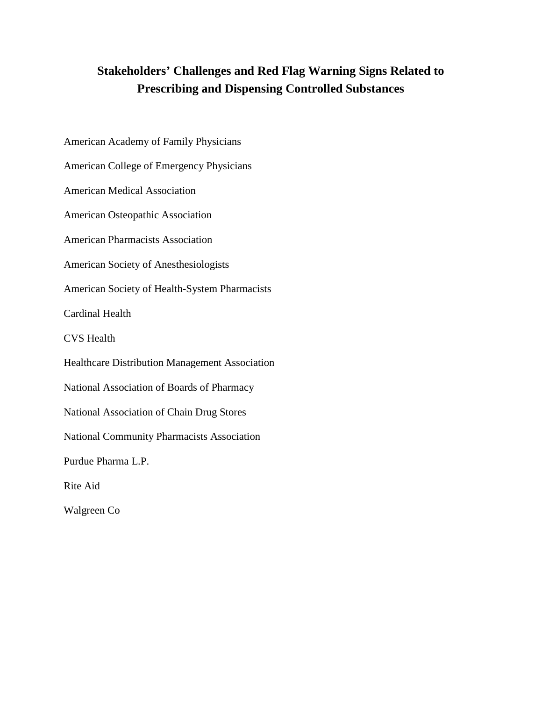# **Stakeholders' Challenges and Red Flag Warning Signs Related to Prescribing and Dispensing Controlled Substances**

<span id="page-0-0"></span>American Academy of Family Physicians American College of Emergency Physicians American Medical Association American Osteopathic Association American Pharmacists Association American Society of Anesthesiologists American Society of Health-System Pharmacists Cardinal Health CVS Health Healthcare Distribution Management Association National Association of Boards of Pharmacy National Association of Chain Drug Stores National Community Pharmacists Association Purdue Pharma L.P. Rite Aid Walgreen Co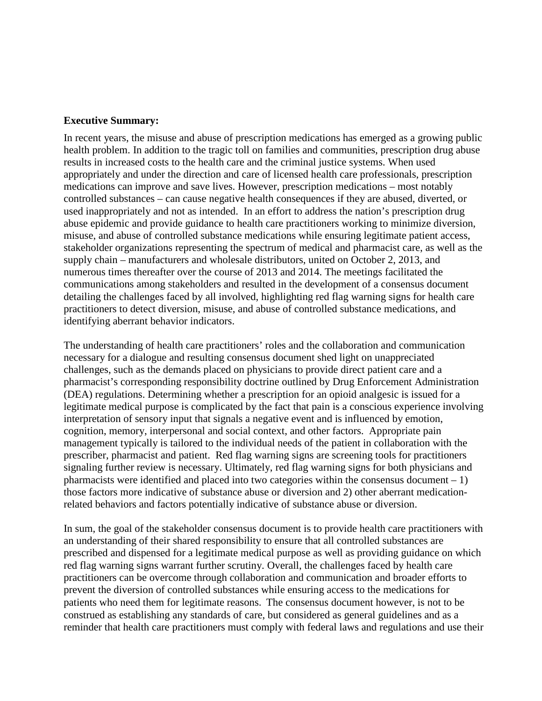#### **Executive Summary:**

In recent years, the misuse and abuse of prescription medications has emerged as a growing public health problem. In addition to the tragic toll on families and communities, prescription drug abuse results in increased costs to the health care and the criminal justice systems. When used appropriately and under the direction and care of licensed health care professionals, prescription medications can improve and save lives. However, prescription medications – most notably controlled substances – can cause negative health consequences if they are abused, diverted, or used inappropriately and not as intended. In an effort to address the nation's prescription drug abuse epidemic and provide guidance to health care practitioners working to minimize diversion, misuse, and abuse of controlled substance medications while ensuring legitimate patient access, stakeholder organizations representing the spectrum of medical and pharmacist care, as well as the supply chain – manufacturers and wholesale distributors, united on October 2, 2013, and numerous times thereafter over the course of 2013 and 2014. The meetings facilitated the communications among stakeholders and resulted in the development of a consensus document detailing the challenges faced by all involved, highlighting red flag warning signs for health care practitioners to detect diversion, misuse, and abuse of controlled substance medications, and identifying aberrant behavior indicators.

The understanding of health care practitioners' roles and the collaboration and communication necessary for a dialogue and resulting consensus document shed light on unappreciated challenges, such as the demands placed on physicians to provide direct patient care and a pharmacist's corresponding responsibility doctrine outlined by Drug Enforcement Administration (DEA) regulations. Determining whether a prescription for an opioid analgesic is issued for a legitimate medical purpose is complicated by the fact that pain is a conscious experience involving interpretation of sensory input that signals a negative event and is influenced by emotion, cognition, memory, interpersonal and social context, and other factors. Appropriate pain management typically is tailored to the individual needs of the patient in collaboration with the prescriber, pharmacist and patient. Red flag warning signs are screening tools for practitioners signaling further review is necessary. Ultimately, red flag warning signs for both physicians and pharmacists were identified and placed into two categories within the consensus document  $-1$ ) those factors more indicative of substance abuse or diversion and 2) other aberrant medicationrelated behaviors and factors potentially indicative of substance abuse or diversion.

In sum, the goal of the stakeholder consensus document is to provide health care practitioners with an understanding of their shared responsibility to ensure that all controlled substances are prescribed and dispensed for a legitimate medical purpose as well as providing guidance on which red flag warning signs warrant further scrutiny. Overall, the challenges faced by health care practitioners can be overcome through collaboration and communication and broader efforts to prevent the diversion of controlled substances while ensuring access to the medications for patients who need them for legitimate reasons. The consensus document however, is not to be construed as establishing any standards of care, but considered as general guidelines and as a reminder that health care practitioners must comply with federal laws and regulations and use their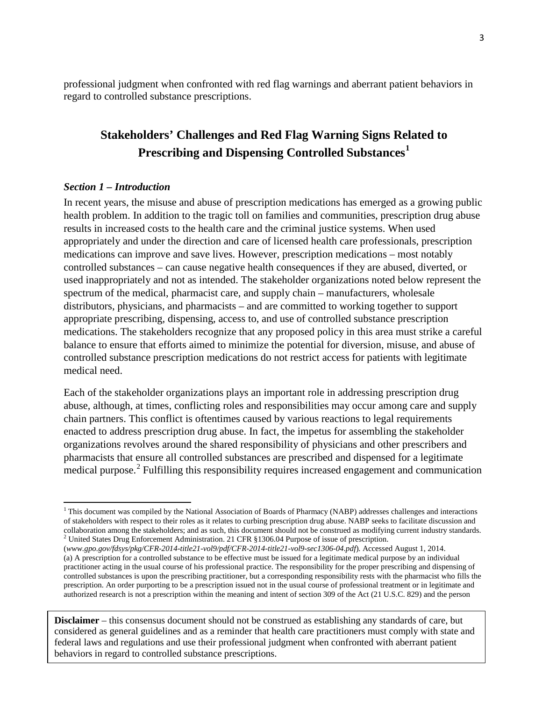professional judgment when confronted with red flag warnings and aberrant patient behaviors in regard to controlled substance prescriptions.

# **Stakeholders' Challenges and Red Flag Warning Signs Related to Prescribing and Dispensing Controlled Substances[1](#page-0-0)**

#### *Section 1 – Introduction*

l

In recent years, the misuse and abuse of prescription medications has emerged as a growing public health problem. In addition to the tragic toll on families and communities, prescription drug abuse results in increased costs to the health care and the criminal justice systems. When used appropriately and under the direction and care of licensed health care professionals, prescription medications can improve and save lives. However, prescription medications – most notably controlled substances – can cause negative health consequences if they are abused, diverted, or used inappropriately and not as intended. The stakeholder organizations noted below represent the spectrum of the medical, pharmacist care, and supply chain – manufacturers, wholesale distributors, physicians, and pharmacists – and are committed to working together to support appropriate prescribing, dispensing, access to, and use of controlled substance prescription medications. The stakeholders recognize that any proposed policy in this area must strike a careful balance to ensure that efforts aimed to minimize the potential for diversion, misuse, and abuse of controlled substance prescription medications do not restrict access for patients with legitimate medical need.

Each of the stakeholder organizations plays an important role in addressing prescription drug abuse, although, at times, conflicting roles and responsibilities may occur among care and supply chain partners. This conflict is oftentimes caused by various reactions to legal requirements enacted to address prescription drug abuse. In fact, the impetus for assembling the stakeholder organizations revolves around the shared responsibility of physicians and other prescribers and pharmacists that ensure all controlled substances are prescribed and dispensed for a legitimate medical purpose.<sup>[2](#page-2-0)</sup> Fulfilling this responsibility requires increased engagement and communication

<span id="page-2-1"></span> $1$  This document was compiled by the National Association of Boards of Pharmacy (NABP) addresses challenges and interactions of stakeholders with respect to their roles as it relates to curbing prescription drug abuse. NABP seeks to facilitate discussion and collaboration among the stakeholders; and as such, this document should not be construed as modifying current industry standards.<br><sup>2</sup> United States Drug Enforcement Administration. 21 CFR §1306.04 Purpose of issue of presc

<span id="page-2-0"></span><sup>(</sup>*www.gpo.gov/fdsys/pkg/CFR-2014-title21-vol9/pdf/CFR-2014-title21-vol9-sec1306-04.pdf*). Accessed August 1, 2014. (a) A prescription for a controlled substance to be effective must be issued for a legitimate medical purpose by an individual practitioner acting in the usual course of his professional practice. The responsibility for the proper prescribing and dispensing of controlled substances is upon the prescribing practitioner, but a corresponding responsibility rests with the pharmacist who fills the prescription. An order purporting to be a prescription issued not in the usual course of professional treatment or in legitimate and authorized research is not a prescription within the meaning and intent of section 309 of the Act (21 U.S.C. 829) and the person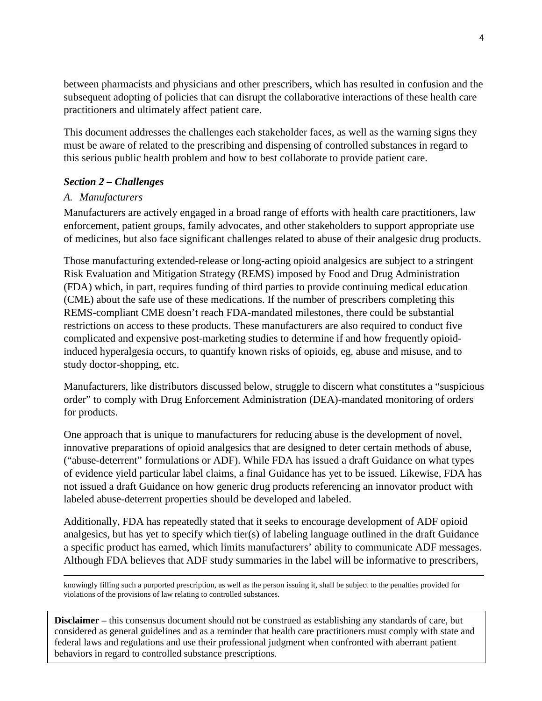between pharmacists and physicians and other prescribers, which has resulted in confusion and the subsequent adopting of policies that can disrupt the collaborative interactions of these health care practitioners and ultimately affect patient care.

This document addresses the challenges each stakeholder faces, as well as the warning signs they must be aware of related to the prescribing and dispensing of controlled substances in regard to this serious public health problem and how to best collaborate to provide patient care.

## *Section 2 – Challenges*

#### *A. Manufacturers*

Manufacturers are actively engaged in a broad range of efforts with health care practitioners, law enforcement, patient groups, family advocates, and other stakeholders to support appropriate use of medicines, but also face significant challenges related to abuse of their analgesic drug products.

Those manufacturing extended-release or long-acting opioid analgesics are subject to a stringent Risk Evaluation and Mitigation Strategy (REMS) imposed by Food and Drug Administration (FDA) which, in part, requires funding of third parties to provide continuing medical education (CME) about the safe use of these medications. If the number of prescribers completing this REMS-compliant CME doesn't reach FDA-mandated milestones, there could be substantial restrictions on access to these products. These manufacturers are also required to conduct five complicated and expensive post-marketing studies to determine if and how frequently opioidinduced hyperalgesia occurs, to quantify known risks of opioids, eg, abuse and misuse, and to study doctor-shopping, etc.

Manufacturers, like distributors discussed below, struggle to discern what constitutes a "suspicious order" to comply with Drug Enforcement Administration (DEA)-mandated monitoring of orders for products.

One approach that is unique to manufacturers for reducing abuse is the development of novel, innovative preparations of opioid analgesics that are designed to deter certain methods of abuse, ("abuse-deterrent" formulations or ADF). While FDA has issued a draft Guidance on what types of evidence yield particular label claims, a final Guidance has yet to be issued. Likewise, FDA has not issued a draft Guidance on how generic drug products referencing an innovator product with labeled abuse-deterrent properties should be developed and labeled.

Additionally, FDA has repeatedly stated that it seeks to encourage development of ADF opioid analgesics, but has yet to specify which tier(s) of labeling language outlined in the draft Guidance a specific product has earned, which limits manufacturers' ability to communicate ADF messages. Although FDA believes that ADF study summaries in the label will be informative to prescribers,

 $\overline{\phantom{a}}$ knowingly filling such a purported prescription, as well as the person issuing it, shall be subject to the penalties provided for violations of the provisions of law relating to controlled substances.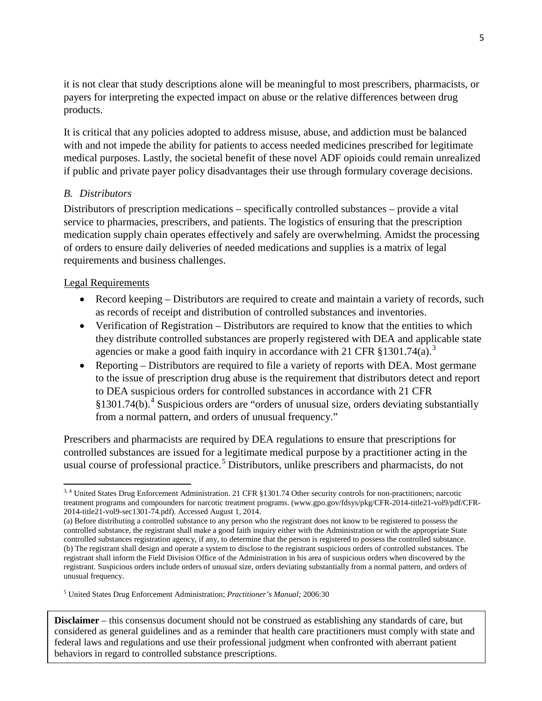it is not clear that study descriptions alone will be meaningful to most prescribers, pharmacists, or payers for interpreting the expected impact on abuse or the relative differences between drug products.

It is critical that any policies adopted to address misuse, abuse, and addiction must be balanced with and not impede the ability for patients to access needed medicines prescribed for legitimate medical purposes. Lastly, the societal benefit of these novel ADF opioids could remain unrealized if public and private payer policy disadvantages their use through formulary coverage decisions.

# *B. Distributors*

Distributors of prescription medications – specifically controlled substances – provide a vital service to pharmacies, prescribers, and patients. The logistics of ensuring that the prescription medication supply chain operates effectively and safely are overwhelming. Amidst the processing of orders to ensure daily deliveries of needed medications and supplies is a matrix of legal requirements and business challenges.

## Legal Requirements

- Record keeping Distributors are required to create and maintain a variety of records, such as records of receipt and distribution of controlled substances and inventories.
- Verification of Registration Distributors are required to know that the entities to which they distribute controlled substances are properly registered with DEA and applicable state agencies or make a good faith inquiry in accordance with 21 CFR  $$1301.74(a).$  $$1301.74(a).$  $$1301.74(a).$ <sup>3</sup>
- Reporting Distributors are required to file a variety of reports with DEA. Most germane to the issue of prescription drug abuse is the requirement that distributors detect and report to DEA suspicious orders for controlled substances in accordance with 21 CFR  $§1301.74(b)$  $§1301.74(b)$  $§1301.74(b)$ .<sup>4</sup> Suspicious orders are "orders of unusual size, orders deviating substantially from a normal pattern, and orders of unusual frequency."

Prescribers and pharmacists are required by DEA regulations to ensure that prescriptions for controlled substances are issued for a legitimate medical purpose by a practitioner acting in the usual course of professional practice.<sup>[5](#page-4-1)</sup> Distributors, unlike prescribers and pharmacists, do not

l 3, 4 United States Drug Enforcement Administration. 21 CFR §1301.74 Other security controls for non-practitioners; narcotic treatment programs and compounders for narcotic treatment programs. (www.gpo.gov/fdsys/pkg/CFR-2014-title21-vol9/pdf/CFR-2014-title21-vol9-sec1301-74.pdf). Accessed August 1, 2014.

<sup>(</sup>a) Before distributing a controlled substance to any person who the registrant does not know to be registered to possess the controlled substance, the registrant shall make a good faith inquiry either with the Administration or with the appropriate State controlled substances registration agency, if any, to determine that the person is registered to possess the controlled substance. (b) The registrant shall design and operate a system to disclose to the registrant suspicious orders of controlled substances. The registrant shall inform the Field Division Office of the Administration in his area of suspicious orders when discovered by the registrant. Suspicious orders include orders of unusual size, orders deviating substantially from a normal pattern, and orders of unusual frequency.

<span id="page-4-2"></span><span id="page-4-1"></span><span id="page-4-0"></span><sup>5</sup> United States Drug Enforcement Administration; *Practitioner's Manual;* 2006:30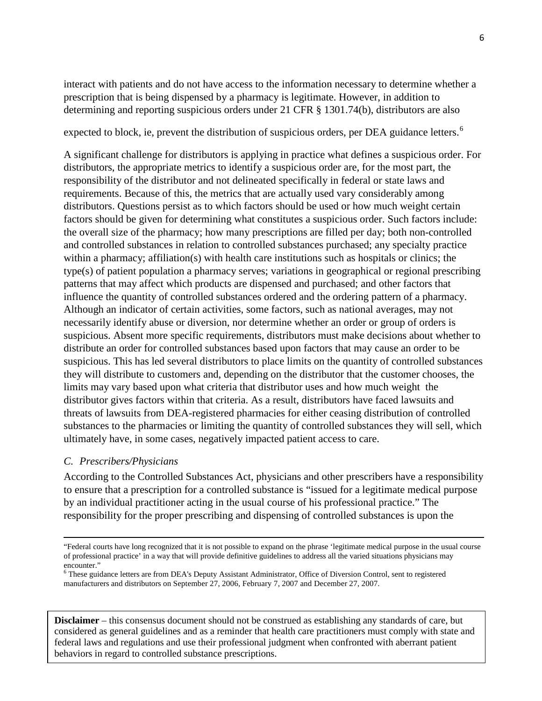interact with patients and do not have access to the information necessary to determine whether a prescription that is being dispensed by a pharmacy is legitimate. However, in addition to determining and reporting suspicious orders under 21 CFR § 1301.74(b), distributors are also

expected to block, ie, prevent the distribution of suspicious orders, per DEA guidance letters.<sup>[6](#page-4-2)</sup>

A significant challenge for distributors is applying in practice what defines a suspicious order. For distributors, the appropriate metrics to identify a suspicious order are, for the most part, the responsibility of the distributor and not delineated specifically in federal or state laws and requirements. Because of this, the metrics that are actually used vary considerably among distributors. Questions persist as to which factors should be used or how much weight certain factors should be given for determining what constitutes a suspicious order. Such factors include: the overall size of the pharmacy; how many prescriptions are filled per day; both non-controlled and controlled substances in relation to controlled substances purchased; any specialty practice within a pharmacy; affiliation(s) with health care institutions such as hospitals or clinics; the type(s) of patient population a pharmacy serves; variations in geographical or regional prescribing patterns that may affect which products are dispensed and purchased; and other factors that influence the quantity of controlled substances ordered and the ordering pattern of a pharmacy. Although an indicator of certain activities, some factors, such as national averages, may not necessarily identify abuse or diversion, nor determine whether an order or group of orders is suspicious. Absent more specific requirements, distributors must make decisions about whether to distribute an order for controlled substances based upon factors that may cause an order to be suspicious. This has led several distributors to place limits on the quantity of controlled substances they will distribute to customers and, depending on the distributor that the customer chooses, the limits may vary based upon what criteria that distributor uses and how much weight the distributor gives factors within that criteria. As a result, distributors have faced lawsuits and threats of lawsuits from DEA-registered pharmacies for either ceasing distribution of controlled substances to the pharmacies or limiting the quantity of controlled substances they will sell, which ultimately have, in some cases, negatively impacted patient access to care.

#### *C. Prescribers/Physicians*

 $\overline{\phantom{a}}$ 

According to the Controlled Substances Act, physicians and other prescribers have a responsibility to ensure that a prescription for a controlled substance is "issued for a legitimate medical purpose by an individual practitioner acting in the usual course of his professional practice." The responsibility for the proper prescribing and dispensing of controlled substances is upon the

<sup>&</sup>quot;Federal courts have long recognized that it is not possible to expand on the phrase 'legitimate medical purpose in the usual course of professional practice' in a way that will provide definitive guidelines to address all the varied situations physicians may encounter."

<span id="page-5-0"></span><sup>&</sup>lt;sup>6</sup> These guidance letters are from DEA's Deputy Assistant Administrator, Office of Diversion Control, sent to registered manufacturers and distributors on September 27, 2006, February 7, 2007 and December 27, 2007.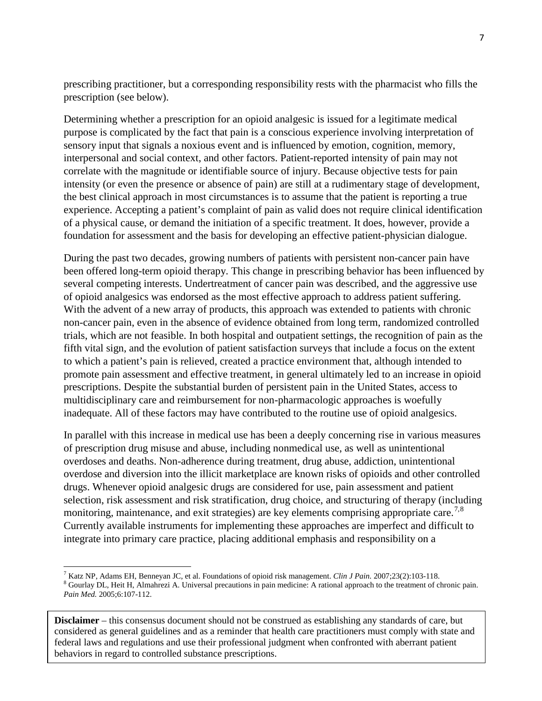prescribing practitioner, but a corresponding responsibility rests with the pharmacist who fills the prescription (see below).

Determining whether a prescription for an opioid analgesic is issued for a legitimate medical purpose is complicated by the fact that pain is a conscious experience involving interpretation of sensory input that signals a noxious event and is influenced by emotion, cognition, memory, interpersonal and social context, and other factors. Patient-reported intensity of pain may not correlate with the magnitude or identifiable source of injury. Because objective tests for pain intensity (or even the presence or absence of pain) are still at a rudimentary stage of development, the best clinical approach in most circumstances is to assume that the patient is reporting a true experience. Accepting a patient's complaint of pain as valid does not require clinical identification of a physical cause, or demand the initiation of a specific treatment. It does, however, provide a foundation for assessment and the basis for developing an effective patient-physician dialogue.

During the past two decades, growing numbers of patients with persistent non-cancer pain have been offered long-term opioid therapy. This change in prescribing behavior has been influenced by several competing interests. Undertreatment of cancer pain was described, and the aggressive use of opioid analgesics was endorsed as the most effective approach to address patient suffering. With the advent of a new array of products, this approach was extended to patients with chronic non-cancer pain, even in the absence of evidence obtained from long term, randomized controlled trials, which are not feasible. In both hospital and outpatient settings, the recognition of pain as the fifth vital sign, and the evolution of patient satisfaction surveys that include a focus on the extent to which a patient's pain is relieved, created a practice environment that, although intended to promote pain assessment and effective treatment, in general ultimately led to an increase in opioid prescriptions. Despite the substantial burden of persistent pain in the United States, access to multidisciplinary care and reimbursement for non-pharmacologic approaches is woefully inadequate. All of these factors may have contributed to the routine use of opioid analgesics.

In parallel with this increase in medical use has been a deeply concerning rise in various measures of prescription drug misuse and abuse, including nonmedical use, as well as unintentional overdoses and deaths. Non-adherence during treatment, drug abuse, addiction, unintentional overdose and diversion into the illicit marketplace are known risks of opioids and other controlled drugs. Whenever opioid analgesic drugs are considered for use, pain assessment and patient selection, risk assessment and risk stratification, drug choice, and structuring of therapy (including monitoring, maintenance, and exit strategies) are key elements comprising appropriate care.<sup>[7](#page-5-0),[8](#page-6-0)</sup> Currently available instruments for implementing these approaches are imperfect and difficult to integrate into primary care practice, placing additional emphasis and responsibility on a

l

<span id="page-6-1"></span><sup>&</sup>lt;sup>7</sup> Katz NP, Adams EH, Benneyan JC, et al. Foundations of opioid risk management. *Clin J Pain.* 2007;23(2):103-118.<br><sup>8</sup> Gourlay DL, Heit H, Almahrezi A. Universal precautions in pain medicine: A rational approach to the *Pain Med.* 2005;6:107-112.

<span id="page-6-0"></span>**Disclaimer** – this consensus document should not be construed as establishing any standards of care, but considered as general guidelines and as a reminder that health care practitioners must comply with state and federal laws and regulations and use their professional judgment when confronted with aberrant patient behaviors in regard to controlled substance prescriptions.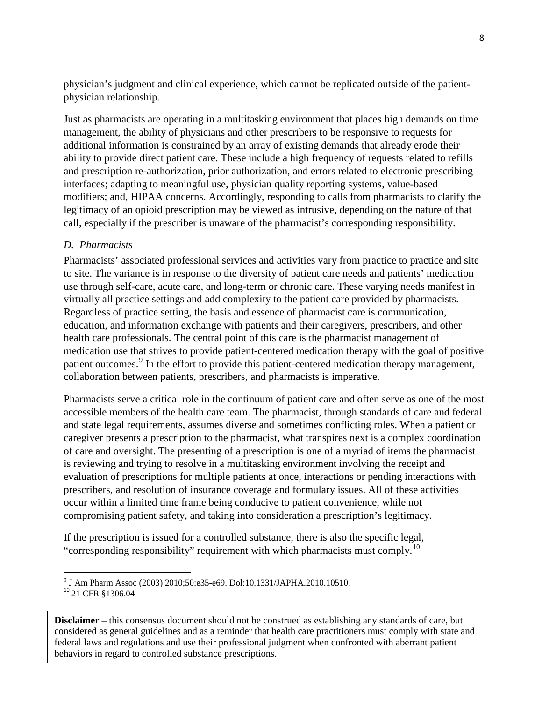physician's judgment and clinical experience, which cannot be replicated outside of the patientphysician relationship.

Just as pharmacists are operating in a multitasking environment that places high demands on time management, the ability of physicians and other prescribers to be responsive to requests for additional information is constrained by an array of existing demands that already erode their ability to provide direct patient care. These include a high frequency of requests related to refills and prescription re-authorization, prior authorization, and errors related to electronic prescribing interfaces; adapting to meaningful use, physician quality reporting systems, value-based modifiers; and, HIPAA concerns. Accordingly, responding to calls from pharmacists to clarify the legitimacy of an opioid prescription may be viewed as intrusive, depending on the nature of that call, especially if the prescriber is unaware of the pharmacist's corresponding responsibility.

# *D. Pharmacists*

Pharmacists' associated professional services and activities vary from practice to practice and site to site. The variance is in response to the diversity of patient care needs and patients' medication use through self-care, acute care, and long-term or chronic care. These varying needs manifest in virtually all practice settings and add complexity to the patient care provided by pharmacists. Regardless of practice setting, the basis and essence of pharmacist care is communication, education, and information exchange with patients and their caregivers, prescribers, and other health care professionals. The central point of this care is the pharmacist management of medication use that strives to provide patient-centered medication therapy with the goal of positive patient outcomes.<sup>[9](#page-6-1)</sup> In the effort to provide this patient-centered medication therapy management, collaboration between patients, prescribers, and pharmacists is imperative.

Pharmacists serve a critical role in the continuum of patient care and often serve as one of the most accessible members of the health care team. The pharmacist, through standards of care and federal and state legal requirements, assumes diverse and sometimes conflicting roles. When a patient or caregiver presents a prescription to the pharmacist, what transpires next is a complex coordination of care and oversight. The presenting of a prescription is one of a myriad of items the pharmacist is reviewing and trying to resolve in a multitasking environment involving the receipt and evaluation of prescriptions for multiple patients at once, interactions or pending interactions with prescribers, and resolution of insurance coverage and formulary issues. All of these activities occur within a limited time frame being conducive to patient convenience, while not compromising patient safety, and taking into consideration a prescription's legitimacy.

If the prescription is issued for a controlled substance, there is also the specific legal, "corresponding responsibility" requirement with which pharmacists must comply.<sup>[10](#page-7-0)</sup>

<span id="page-7-1"></span><sup>&</sup>lt;sup>9</sup> J Am Pharm Assoc (2003) 2010;50:e35-e69. Dol:10.1331/JAPHA.2010.10510.<br><sup>10</sup> 21 CFR §1306.04

<span id="page-7-0"></span>**Disclaimer** – this consensus document should not be construed as establishing any standards of care, but considered as general guidelines and as a reminder that health care practitioners must comply with state and federal laws and regulations and use their professional judgment when confronted with aberrant patient behaviors in regard to controlled substance prescriptions.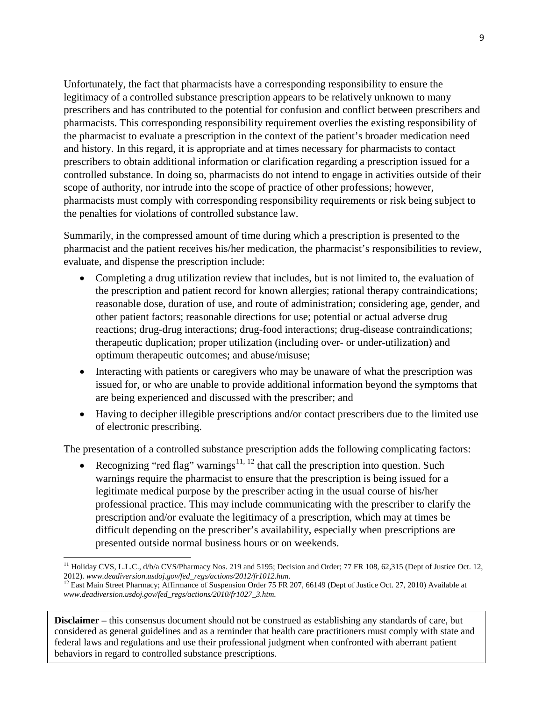Unfortunately, the fact that pharmacists have a corresponding responsibility to ensure the legitimacy of a controlled substance prescription appears to be relatively unknown to many prescribers and has contributed to the potential for confusion and conflict between prescribers and pharmacists. This corresponding responsibility requirement overlies the existing responsibility of the pharmacist to evaluate a prescription in the context of the patient's broader medication need and history. In this regard, it is appropriate and at times necessary for pharmacists to contact prescribers to obtain additional information or clarification regarding a prescription issued for a controlled substance. In doing so, pharmacists do not intend to engage in activities outside of their scope of authority, nor intrude into the scope of practice of other professions; however, pharmacists must comply with corresponding responsibility requirements or risk being subject to the penalties for violations of controlled substance law.

Summarily, in the compressed amount of time during which a prescription is presented to the pharmacist and the patient receives his/her medication, the pharmacist's responsibilities to review, evaluate, and dispense the prescription include:

- Completing a drug utilization review that includes, but is not limited to, the evaluation of the prescription and patient record for known allergies; rational therapy contraindications; reasonable dose, duration of use, and route of administration; considering age, gender, and other patient factors; reasonable directions for use; potential or actual adverse drug reactions; drug-drug interactions; drug-food interactions; drug-disease contraindications; therapeutic duplication; proper utilization (including over- or under-utilization) and optimum therapeutic outcomes; and abuse/misuse;
- <span id="page-8-1"></span>• Interacting with patients or caregivers who may be unaware of what the prescription was issued for, or who are unable to provide additional information beyond the symptoms that are being experienced and discussed with the prescriber; and
- Having to decipher illegible prescriptions and/or contact prescribers due to the limited use of electronic prescribing.

The presentation of a controlled substance prescription adds the following complicating factors:

Recognizing "red flag" warnings<sup>[11,](#page-7-1) [12](#page-8-0)</sup> that call the prescription into question. Such warnings require the pharmacist to ensure that the prescription is being issued for a legitimate medical purpose by the prescriber acting in the usual course of his/her professional practice. This may include communicating with the prescriber to clarify the prescription and/or evaluate the legitimacy of a prescription, which may at times be difficult depending on the prescriber's availability, especially when prescriptions are presented outside normal business hours or on weekends.

 $\overline{\phantom{a}}$ <sup>11</sup> Holiday CVS, L.L.C.,  $d/b/a$  CVS/Pharmacy Nos. 219 and 5195; Decision and Order; 77 FR 108, 62,315 (Dept of Justice Oct. 12, 2012). *www.deadiversion.usdoj.gov/fed\_regs/actions/2012/fr1012.htm.* 12 East Main Street Pharmacy; Affirmance of Suspension Order 75 FR 207, 66149 (Dept of Justice Oct. 27, 2010) Available at

<span id="page-8-0"></span>*www.deadiversion.usdoj.gov/fed\_regs/actions/2010/fr1027\_3.htm*.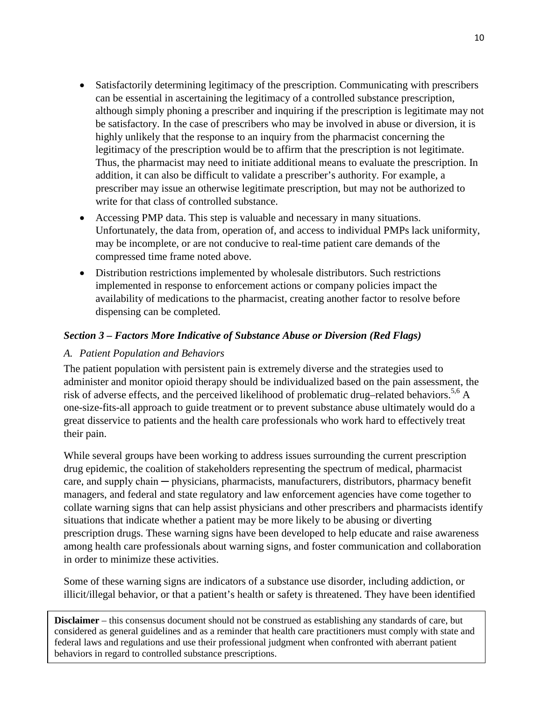- Satisfactorily determining legitimacy of the prescription. Communicating with prescribers can be essential in ascertaining the legitimacy of a controlled substance prescription, although simply phoning a prescriber and inquiring if the prescription is legitimate may not be satisfactory. In the case of prescribers who may be involved in abuse or diversion, it is highly unlikely that the response to an inquiry from the pharmacist concerning the legitimacy of the prescription would be to affirm that the prescription is not legitimate. Thus, the pharmacist may need to initiate additional means to evaluate the prescription. In addition, it can also be difficult to validate a prescriber's authority. For example, a prescriber may issue an otherwise legitimate prescription, but may not be authorized to write for that class of controlled substance.
- Accessing PMP data. This step is valuable and necessary in many situations. Unfortunately, the data from, operation of, and access to individual PMPs lack uniformity, may be incomplete, or are not conducive to real-time patient care demands of the compressed time frame noted above.
- Distribution restrictions implemented by wholesale distributors. Such restrictions implemented in response to enforcement actions or company policies impact the availability of medications to the pharmacist, creating another factor to resolve before dispensing can be completed.

# *Section 3 – Factors More Indicative of Substance Abuse or Diversion (Red Flags)*

# *A. Patient Population and Behaviors*

The patient population with persistent pain is extremely diverse and the strategies used to administer and monitor opioid therapy should be individualized based on the pain assessment, the risk of adverse effects, and the perceived likelihood of problematic drug–related behaviors.<sup>5,6</sup> A one-size-fits-all approach to guide treatment or to prevent substance abuse ultimately would do a great disservice to patients and the health care professionals who work hard to effectively treat their pain.

While several groups have been working to address issues surrounding the current prescription drug epidemic, the coalition of stakeholders representing the spectrum of medical, pharmacist care, and supply chain — physicians, pharmacists, manufacturers, distributors, pharmacy benefit managers, and federal and state regulatory and law enforcement agencies have come together to collate warning signs that can help assist physicians and other prescribers and pharmacists identify situations that indicate whether a patient may be more likely to be abusing or diverting prescription drugs. These warning signs have been developed to help educate and raise awareness among health care professionals about warning signs, and foster communication and collaboration in order to minimize these activities.

Some of these warning signs are indicators of a substance use disorder, including addiction, or illicit/illegal behavior, or that a patient's health or safety is threatened. They have been identified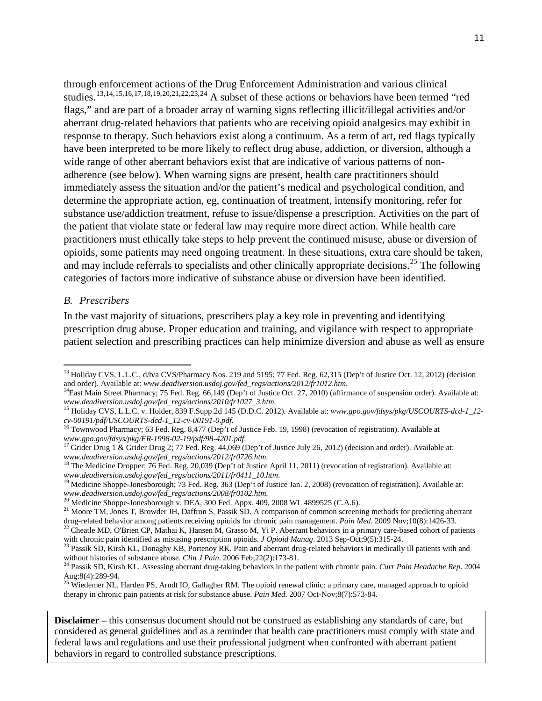through enforcement actions of the Drug Enforcement Administration and various clinical studies.<sup>[13](#page-8-1),[14,](#page-10-0)[15](#page-10-1),[16](#page-10-2),[17,](#page-10-3)[18](#page-10-4),[19](#page-10-5),[20,](#page-10-6)[21](#page-10-7),[22,](#page-10-8)[23,](#page-10-9)[24](#page-10-10)</sup> A subset of these actions or behaviors have been termed "red flags," and are part of a broader array of warning signs reflecting illicit/illegal activities and/or aberrant drug-related behaviors that patients who are receiving opioid analgesics may exhibit in response to therapy. Such behaviors exist along a continuum. As a term of art, red flags typically have been interpreted to be more likely to reflect drug abuse, addiction, or diversion, although a wide range of other aberrant behaviors exist that are indicative of various patterns of nonadherence (see below). When warning signs are present, health care practitioners should immediately assess the situation and/or the patient's medical and psychological condition, and determine the appropriate action, eg, continuation of treatment, intensify monitoring, refer for substance use/addiction treatment, refuse to issue/dispense a prescription. Activities on the part of the patient that violate state or federal law may require more direct action. While health care practitioners must ethically take steps to help prevent the continued misuse, abuse or diversion of opioids, some patients may need ongoing treatment. In these situations, extra care should be taken, and may include referrals to specialists and other clinically appropriate decisions.<sup>[25](#page-10-11)</sup> The following categories of factors more indicative of substance abuse or diversion have been identified.

#### *B. Prescribers*

l

In the vast majority of situations, prescribers play a key role in preventing and identifying prescription drug abuse. Proper education and training, and vigilance with respect to appropriate patient selection and prescribing practices can help minimize diversion and abuse as well as ensure

<sup>&</sup>lt;sup>13</sup> Holiday CVS, L.L.C.,  $d/b/a$  CVS/Pharmacy Nos. 219 and 5195; 77 Fed. Reg. 62,315 (Dep't of Justice Oct. 12, 2012) (decision and order). Available at: www.deadiversion.usdoj.gov/fed\_regs/actions/2012/fr1012.htm.

<span id="page-10-0"></span><sup>&</sup>lt;sup>14</sup>East Main Street Pharmacy; 75 Fed. Reg. 66,149 (Dep't of Justice Oct. 27, 2010) (affirmance of suspension order). Available at: *www.deadiversion.usdoj.gov/fed\_regs/actions/2010/fr1027\_3.htm.* 

<span id="page-10-1"></span><sup>&</sup>lt;sup>15</sup> Holiday CVS, L.L.C. v. Holder, 839 F.Supp.2d 145 (D.D.C. 2012). Available at: *[www.gpo.gov/fdsys/pkg/USCOURTS-dcd-1\\_12-](http://www.gpo.gov/fdsys/pkg/USCOURTS-dcd-1_12-cv-00191/pdf/USCOURTS-dcd-1_12-cv-00191-0.pdf)cv-00191/pdf/USCOURTS-dcd-1\_12-cv-00191-0.pdf.* 

<sup>&</sup>lt;sup>16</sup> Townwood Pharmacy; 63 Fed. Reg. 8,477 (Dep't of Justice Feb. 19, 1998) (revocation of registration). Available at

<span id="page-10-3"></span><span id="page-10-2"></span>*[www.gpo.gov/fdsys/pkg/FR-1998-02-19/pdf/98-4201.pdf](http://www.gpo.gov/fdsys/pkg/FR-1998-02-19/pdf/98-4201.pdf).*<br>
<sup>17</sup> Grider Drug 1 & Grider Drug 2; 77 Fed. Reg. 44,069 (Dep't of Justice July 26, 2012) (decision and order). Available at:<br> *www.deadiversion.usdoj.gov/fed\_regs/act* 

<span id="page-10-4"></span><sup>&</sup>lt;sup>18</sup> The Medicine Dropper; 76 Fed[.](http://www.deadiversion.usdoj.gov/fed_regs/actions/2012/fr0726.htm) Reg. 20,039 (Dep't of Justice April 11, 2011) (revocation of registration). Available at: *www[.](http://www.deadiversion.usdoj.gov/fed_regs/actions/2011/fr0411_10.htm)deadiversion.usdoj.gov/fed\_regs/actions/2011/fr0411\_10.htm.* [19](http://www.deadiversion.usdoj.gov/fed_regs/actions/2011/fr0411_10.htm) Medicine Shoppe-Jonesborough; 73 Fed. Reg. 363 (Dep't of Justice Jan. 2, 2008) (revocation of registration). Available at:

<span id="page-10-5"></span>www.deadiversion.usdoj.gov/fed\_regs/actions/2008/fr0102.htm.<br><sup>20</sup> Medicine Shoppe-Jonesborough v. DEA, 300 Fed. Appx. 409, 2008 WL 4899525 (C.A.6).<br><sup>21</sup> Moore TM, Jones T, Browder JH, Daffron S, Passik SD. A comparison of

<span id="page-10-6"></span>

<span id="page-10-8"></span><span id="page-10-7"></span>drug-related behavior among patients receiving opioids for chronic pain management. *Pain Med*. 2009 Nov;  $10(8):1426-33$ .<br><sup>22</sup> Cheatle MD, O'Brien CP, Mathai K, Hansen M, Grasso M, Yi P. Aberrant behaviors in a primary ca

<span id="page-10-9"></span><sup>&</sup>lt;sup>23</sup> Passik SD, Kirsh KL, Donaghy KB, Portenoy RK. Pain and aberrant drug-related behaviors in medically ill patients with and without histories of substance abuse. *Clin J Pain*. 2006 Feb;  $22(2)$ : 173-81.

<span id="page-10-10"></span><sup>&</sup>lt;sup>24</sup> Passik SD, Kirsh KL. Assessing aberrant drug-taking behaviors in the patient with chronic pain. *Curr Pain Headache Rep*. 2004 Aug;8(4):289-94.<br><sup>25</sup> Wiedemer NL, Harden PS, Arndt IO, Gallagher RM. The opioid renewal clinic: a primary care, managed approach to opioid

<span id="page-10-12"></span><span id="page-10-11"></span>therapy in chronic pain patients at risk for substance abuse. *Pain Med*. 2007 Oct-Nov;8(7):573-84.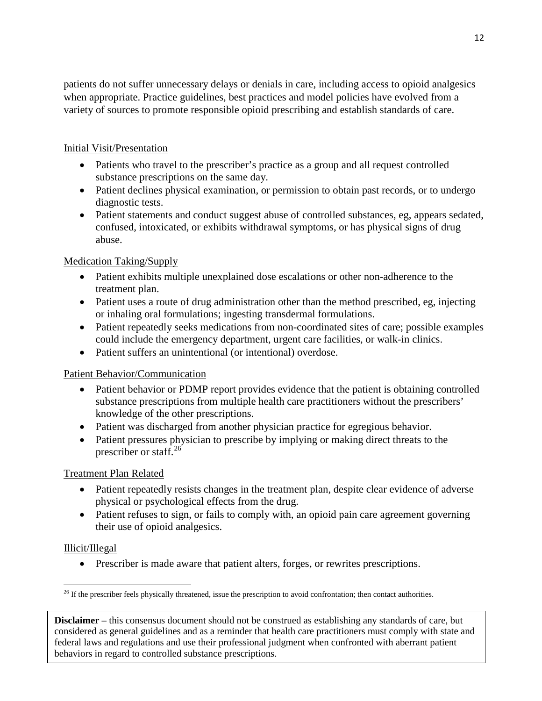patients do not suffer unnecessary delays or denials in care, including access to opioid analgesics when appropriate. Practice guidelines, best practices and model policies have evolved from a variety of sources to promote responsible opioid prescribing and establish standards of care.

# Initial Visit/Presentation

- Patients who travel to the prescriber's practice as a group and all request controlled substance prescriptions on the same day.
- Patient declines physical examination, or permission to obtain past records, or to undergo diagnostic tests.
- Patient statements and conduct suggest abuse of controlled substances, eg, appears sedated, confused, intoxicated, or exhibits withdrawal symptoms, or has physical signs of drug abuse.

# Medication Taking/Supply

- Patient exhibits multiple unexplained dose escalations or other non-adherence to the treatment plan.
- Patient uses a route of drug administration other than the method prescribed, eg, injecting or inhaling oral formulations; ingesting transdermal formulations.
- Patient repeatedly seeks medications from non-coordinated sites of care; possible examples could include the emergency department, urgent care facilities, or walk-in clinics.
- Patient suffers an unintentional (or intentional) overdose.

# Patient Behavior/Communication

- Patient behavior or PDMP report provides evidence that the patient is obtaining controlled substance prescriptions from multiple health care practitioners without the prescribers' knowledge of the other prescriptions.
- Patient was discharged from another physician practice for egregious behavior.
- Patient pressures physician to prescribe by implying or making direct threats to the prescriber or staff. $^{26}$  $^{26}$  $^{26}$

# Treatment Plan Related

- Patient repeatedly resists changes in the treatment plan, despite clear evidence of adverse physical or psychological effects from the drug.
- Patient refuses to sign, or fails to comply with, an opioid pain care agreement governing their use of opioid analgesics.

# Illicit/Illegal

• Prescriber is made aware that patient alters, forges, or rewrites prescriptions.

<span id="page-11-0"></span> $\overline{\phantom{a}}$  $26$  If the prescriber feels physically threatened, issue the prescription to avoid confrontation; then contact authorities.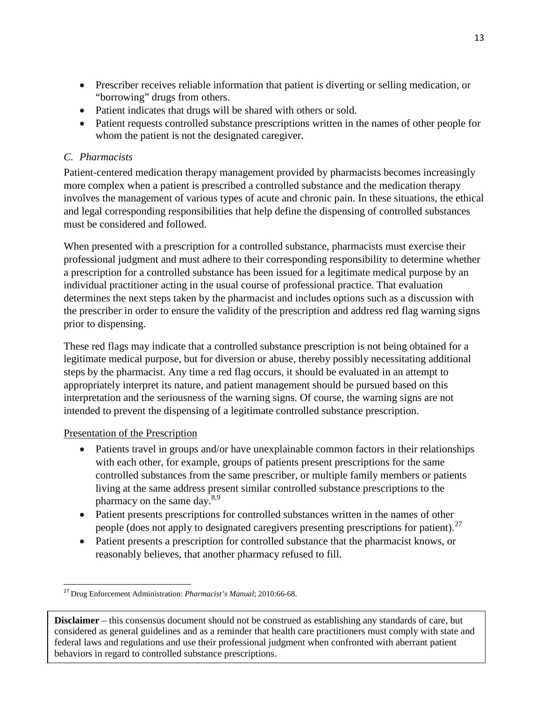- Prescriber receives reliable information that patient is diverting or selling medication, or "borrowing" drugs from others.
- Patient indicates that drugs will be shared with others or sold.
- Patient requests controlled substance prescriptions written in the names of other people for whom the patient is not the designated caregiver.

# *C. Pharmacists*

Patient-centered medication therapy management provided by pharmacists becomes increasingly more complex when a patient is prescribed a controlled substance and the medication therapy involves the management of various types of acute and chronic pain. In these situations, the ethical and legal corresponding responsibilities that help define the dispensing of controlled substances must be considered and followed.

When presented with a prescription for a controlled substance, pharmacists must exercise their professional judgment and must adhere to their corresponding responsibility to determine whether a prescription for a controlled substance has been issued for a legitimate medical purpose by an individual practitioner acting in the usual course of professional practice. That evaluation determines the next steps taken by the pharmacist and includes options such as a discussion with the prescriber in order to ensure the validity of the prescription and address red flag warning signs prior to dispensing.

These red flags may indicate that a controlled substance prescription is not being obtained for a legitimate medical purpose, but for diversion or abuse, thereby possibly necessitating additional steps by the pharmacist. Any time a red flag occurs, it should be evaluated in an attempt to appropriately interpret its nature, and patient management should be pursued based on this interpretation and the seriousness of the warning signs. Of course, the warning signs are not intended to prevent the dispensing of a legitimate controlled substance prescription.

# Presentation of the Prescription

- Patients travel in groups and/or have unexplainable common factors in their relationships with each other, for example, groups of patients present prescriptions for the same controlled substances from the same prescriber, or multiple family members or patients living at the same address present similar controlled substance prescriptions to the pharmacy on the same day.<sup>8,9</sup>
- Patient presents prescriptions for controlled substances written in the names of other people (does not apply to designated caregivers presenting prescriptions for patient).<sup>[27](#page-11-0)</sup>
- Patient presents a prescription for controlled substance that the pharmacist knows, or reasonably believes, that another pharmacy refused to fill.

<span id="page-12-0"></span> <sup>27</sup> Drug Enforcement Administration: *Pharmacist's Manual*; 2010:66-68.

**Disclaimer** – this consensus document should not be construed as establishing any standards of care, but considered as general guidelines and as a reminder that health care practitioners must comply with state and federal laws and regulations and use their professional judgment when confronted with aberrant patient behaviors in regard to controlled substance prescriptions.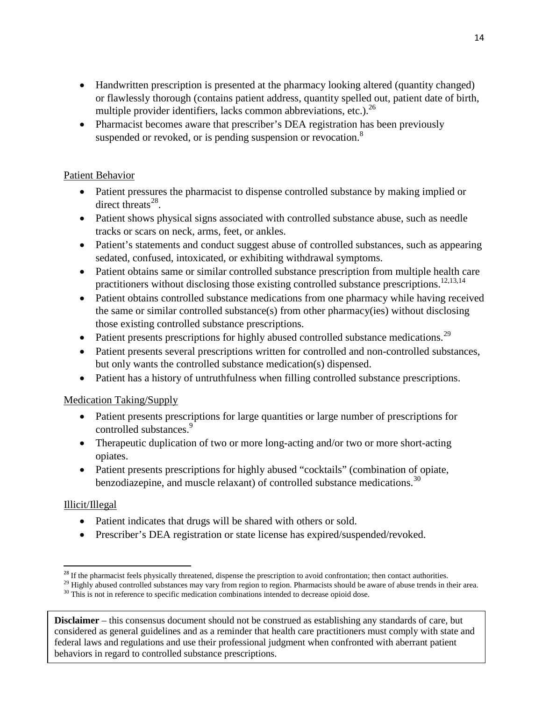- Handwritten prescription is presented at the pharmacy looking altered (quantity changed) or flawlessly thorough (contains patient address, quantity spelled out, patient date of birth, multiple provider identifiers, lacks common abbreviations, etc.).<sup>26</sup>
- Pharmacist becomes aware that prescriber's DEA registration has been previously suspended or revoked, or is pending suspension or revocation.<sup>8</sup>

# Patient Behavior

- Patient pressures the pharmacist to dispense controlled substance by making implied or direct threats $^{28}$ .
- Patient shows physical signs associated with controlled substance abuse, such as needle tracks or scars on neck, arms, feet, or ankles.
- Patient's statements and conduct suggest abuse of controlled substances, such as appearing sedated, confused, intoxicated, or exhibiting withdrawal symptoms.
- Patient obtains same or similar controlled substance prescription from multiple health care practitioners without disclosing those existing controlled substance prescriptions.<sup>12,13,14</sup>
- Patient obtains controlled substance medications from one pharmacy while having received the same or similar controlled substance(s) from other pharmacy(ies) without disclosing those existing controlled substance prescriptions.
- Patient presents prescriptions for highly abused controlled substance medications.<sup>[29](#page-13-0)</sup>
- Patient presents several prescriptions written for controlled and non-controlled substances, but only wants the controlled substance medication(s) dispensed.
- Patient has a history of untruthfulness when filling controlled substance prescriptions.

# Medication Taking/Supply

- Patient presents prescriptions for large quantities or large number of prescriptions for controlled substances.<sup>9</sup>
- Therapeutic duplication of two or more long-acting and/or two or more short-acting opiates.
- Patient presents prescriptions for highly abused "cocktails" (combination of opiate, benzodiazepine, and muscle relaxant) of controlled substance medications.<sup>[30](#page-13-1)</sup>

# Illicit/Illegal

- Patient indicates that drugs will be shared with others or sold.
- Prescriber's DEA registration or state license has expired/suspended/revoked.

<span id="page-13-2"></span><sup>&</sup>lt;sup>28</sup> If the pharmacist feels physically threatened, dispense the prescription to avoid confrontation; then contact authorities.<br><sup>29</sup> Highly abused controlled substances may vary from region to region. Pharmacists should b

<span id="page-13-0"></span>

<span id="page-13-1"></span>**Disclaimer** – this consensus document should not be construed as establishing any standards of care, but considered as general guidelines and as a reminder that health care practitioners must comply with state and federal laws and regulations and use their professional judgment when confronted with aberrant patient behaviors in regard to controlled substance prescriptions.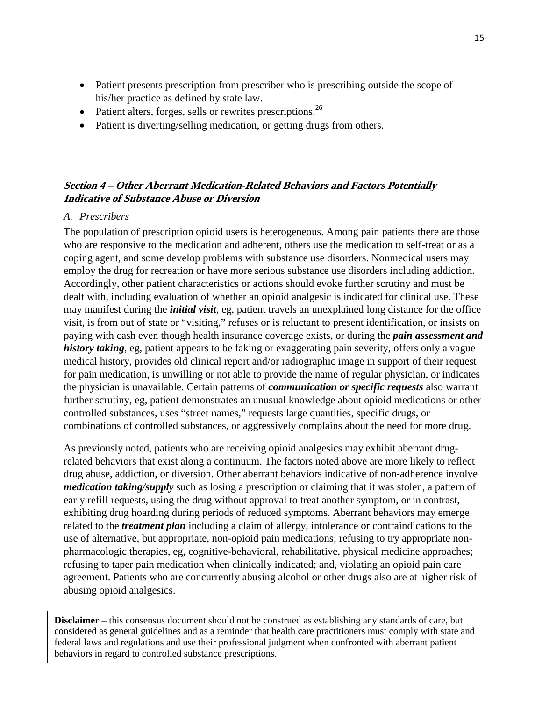- Patient presents prescription from prescriber who is prescribing outside the scope of his/her practice as defined by state law.
- Patient alters, forges, sells or rewrites prescriptions.<sup>26</sup>
- Patient is diverting/selling medication, or getting drugs from others.

# **Section 4 – Other Aberrant Medication-Related Behaviors and Factors Potentially Indicative of Substance Abuse or Diversion**

#### *A. Prescribers*

The population of prescription opioid users is heterogeneous. Among pain patients there are those who are responsive to the medication and adherent, others use the medication to self-treat or as a coping agent, and some develop problems with substance use disorders. Nonmedical users may employ the drug for recreation or have more serious substance use disorders including addiction. Accordingly, other patient characteristics or actions should evoke further scrutiny and must be dealt with, including evaluation of whether an opioid analgesic is indicated for clinical use. These may manifest during the *initial visit*, eg, patient travels an unexplained long distance for the office visit, is from out of state or "visiting," refuses or is reluctant to present identification, or insists on paying with cash even though health insurance coverage exists, or during the *pain assessment and history taking*, eg, patient appears to be faking or exaggerating pain severity, offers only a vague medical history, provides old clinical report and/or radiographic image in support of their request for pain medication, is unwilling or not able to provide the name of regular physician, or indicates the physician is unavailable. Certain patterns of *communication or specific requests* also warrant further scrutiny, eg, patient demonstrates an unusual knowledge about opioid medications or other controlled substances, uses "street names," requests large quantities, specific drugs, or combinations of controlled substances, or aggressively complains about the need for more drug.

As previously noted, patients who are receiving opioid analgesics may exhibit aberrant drugrelated behaviors that exist along a continuum. The factors noted above are more likely to reflect drug abuse, addiction, or diversion. Other aberrant behaviors indicative of non-adherence involve *medication taking/supply* such as losing a prescription or claiming that it was stolen, a pattern of early refill requests, using the drug without approval to treat another symptom, or in contrast, exhibiting drug hoarding during periods of reduced symptoms. Aberrant behaviors may emerge related to the *treatment plan* including a claim of allergy, intolerance or contraindications to the use of alternative, but appropriate, non-opioid pain medications; refusing to try appropriate nonpharmacologic therapies, eg, cognitive-behavioral, rehabilitative, physical medicine approaches; refusing to taper pain medication when clinically indicated; and, violating an opioid pain care agreement. Patients who are concurrently abusing alcohol or other drugs also are at higher risk of abusing opioid analgesics.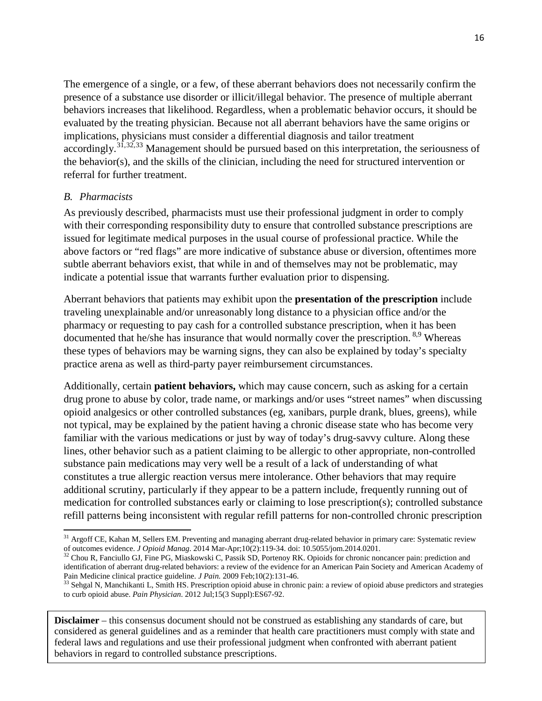The emergence of a single, or a few, of these aberrant behaviors does not necessarily confirm the presence of a substance use disorder or illicit/illegal behavior. The presence of multiple aberrant behaviors increases that likelihood. Regardless, when a problematic behavior occurs, it should be evaluated by the treating physician. Because not all aberrant behaviors have the same origins or implications, physicians must consider a differential diagnosis and tailor treatment accordingly.<sup>[31](#page-13-2),[32,](#page-15-0)[33](#page-15-1)</sup> Management should be pursued based on this interpretation, the seriousness of the behavior(s), and the skills of the clinician, including the need for structured intervention or referral for further treatment.

# *B. Pharmacists*

As previously described, pharmacists must use their professional judgment in order to comply with their corresponding responsibility duty to ensure that controlled substance prescriptions are issued for legitimate medical purposes in the usual course of professional practice. While the above factors or "red flags" are more indicative of substance abuse or diversion, oftentimes more subtle aberrant behaviors exist, that while in and of themselves may not be problematic, may indicate a potential issue that warrants further evaluation prior to dispensing.

Aberrant behaviors that patients may exhibit upon the **presentation of the prescription** include traveling unexplainable and/or unreasonably long distance to a physician office and/or the pharmacy or requesting to pay cash for a controlled substance prescription, when it has been documented that he/she has insurance that would normally cover the prescription. <sup>8,9</sup> Whereas these types of behaviors may be warning signs, they can also be explained by today's specialty practice arena as well as third-party payer reimbursement circumstances.

Additionally, certain **patient behaviors,** which may cause concern, such as asking for a certain drug prone to abuse by color, trade name, or markings and/or uses "street names" when discussing opioid analgesics or other controlled substances (eg, xanibars, purple drank, blues, greens), while not typical, may be explained by the patient having a chronic disease state who has become very familiar with the various medications or just by way of today's drug-savvy culture. Along these lines, other behavior such as a patient claiming to be allergic to other appropriate, non-controlled substance pain medications may very well be a result of a lack of understanding of what constitutes a true allergic reaction versus mere intolerance. Other behaviors that may require additional scrutiny, particularly if they appear to be a pattern include, frequently running out of medication for controlled substances early or claiming to lose prescription(s); controlled substance refill patterns being inconsistent with regular refill patterns for non-controlled chronic prescription

 $\overline{\phantom{a}}$  $31$  Argoff CE, Kahan M, Sellers EM. Preventing and managing aberrant drug-related behavior in primary care: Systematic review of outcomes evidence. J Opioid Manag. 2014 Mar-Apr;10(2):119-34. doi: 10.5055/jom.2014.0201.<br><sup>32</sup> Chou R, Fanciullo GJ, Fine PG, Miaskowski C, Passik SD, Portenoy RK. Opioids for chronic noncancer pain: prediction and

<span id="page-15-0"></span>identification of aberrant drug-related behaviors: a review of the evidence for an American Pain Society and American Academy of<br>Pain Medicine clinical practice guideline. J Pain. 2009 Feb;10(2):131-46.

<span id="page-15-2"></span><span id="page-15-1"></span><sup>&</sup>lt;sup>33</sup> Sehgal N, Manchikanti L, Smith HS. Prescription opioid abuse in chronic pain: a review of opioid abuse predictors and strategies to curb opioid abuse. *Pain Physician*. 2012 Jul;15(3 Suppl):ES67-92.